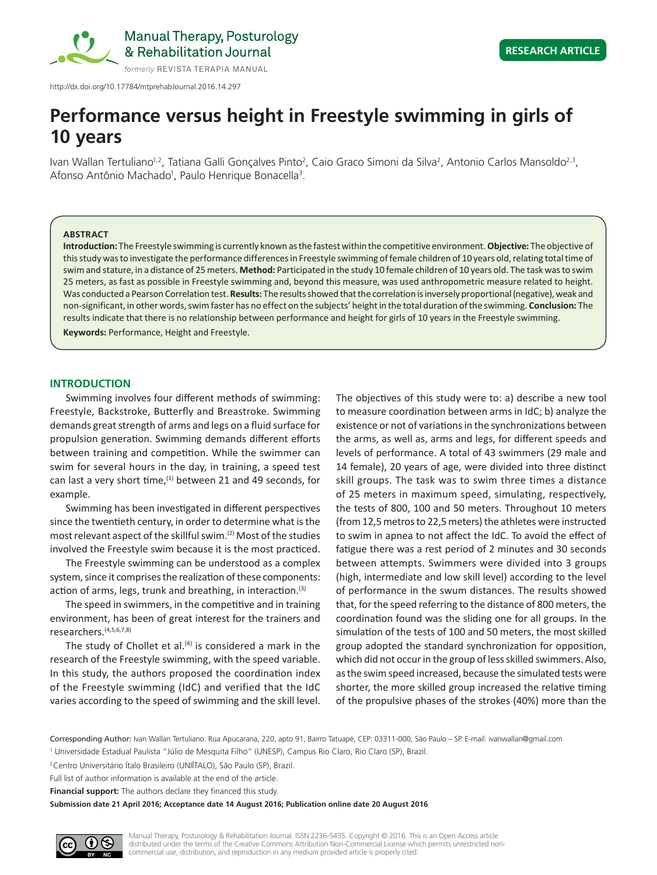

http://dx.doi.org/10.17784/mtprehabJournal.2016.14.297

# **Performance versus height in Freestyle swimming in girls of 10 years**

Ivan Wallan Tertuliano<sup>1,2</sup>, Tatiana Galli Gonçalves Pinto<sup>2</sup>, Caio Graco Simoni da Silva<sup>2</sup>, Antonio Carlos Mansoldo<sup>2,3</sup>, Afonso Antônio Machado<sup>1</sup>, Paulo Henrique Bonacella<sup>3</sup>.

#### **ABSTRACT**

**Introduction:** The Freestyle swimming is currently known as the fastest within the competitive environment. **Objective:** The objective of this study was to investigate the performance differences in Freestyle swimming of female children of 10 years old, relating total time of swim and stature, in a distance of 25 meters. **Method:** Participated in the study 10 female children of 10 years old. The task was to swim 25 meters, as fast as possible in Freestyle swimming and, beyond this measure, was used anthropometric measure related to height. Was conducted a Pearson Correlation test. **Results:** The results showed that the correlation is inversely proportional (negative), weak and non-significant, in other words, swim faster has no effect on the subjects' height in the total duration of the swimming. **Conclusion:** The results indicate that there is no relationship between performance and height for girls of 10 years in the Freestyle swimming.

**Keywords:** Performance, Height and Freestyle.

### **INTRODUCTION**

Swimming involves four different methods of swimming: Freestyle, Backstroke, Butterfly and Breastroke. Swimming demands great strength of arms and legs on a fluid surface for propulsion generation. Swimming demands different efforts between training and competition. While the swimmer can swim for several hours in the day, in training, a speed test can last a very short time, $(1)$  between 21 and 49 seconds, for example.

Swimming has been investigated in different perspectives since the twentieth century, in order to determine what is the most relevant aspect of the skillful swim.(2) Most of the studies involved the Freestyle swim because it is the most practiced.

The Freestyle swimming can be understood as a complex system, since it comprises the realization of these components: action of arms, legs, trunk and breathing, in interaction. $(3)$ 

The speed in swimmers, in the competitive and in training environment, has been of great interest for the trainers and researchers.(4,5,6,7,8)

The study of Chollet et al. $(4)$  is considered a mark in the research of the Freestyle swimming, with the speed variable. In this study, the authors proposed the coordination index of the Freestyle swimming (IdC) and verified that the IdC varies according to the speed of swimming and the skill level. The objectives of this study were to: a) describe a new tool to measure coordination between arms in IdC; b) analyze the existence or not of variations in the synchronizations between the arms, as well as, arms and legs, for different speeds and levels of performance. A total of 43 swimmers (29 male and 14 female), 20 years of age, were divided into three distinct skill groups. The task was to swim three times a distance of 25 meters in maximum speed, simulating, respectively, the tests of 800, 100 and 50 meters. Throughout 10 meters (from12,5 metros to 22,5 meters) the athletes were instructed to swim in apnea to not affect the IdC. To avoid the effect of fatigue there was a rest period of 2 minutes and 30 seconds between attempts. Swimmers were divided into 3 groups (high, intermediate and low skill level) according to the level of performance in the swum distances. The results showed that, for the speed referring to the distance of 800 meters, the coordination found was the sliding one for all groups. In the simulation of the tests of 100 and 50 meters, the most skilled group adopted the standard synchronization for opposition, which did not occur in the group of less skilled swimmers. Also, as the swim speed increased, because the simulated tests were shorter, the more skilled group increased the relative timing of the propulsive phases of the strokes (40%) more than the

Corresponding Author: Ivan Wallan Tertuliano. Rua Apucarana, 220, apto 91, Bairro Tatuapé, CEP: 03311-000, São Paulo – SP. E-mail: ivanwallan@gmail.com <sup>1</sup> Universidade Estadual Paulista "Júlio de Mesquita Filho" (UNESP), Campus Rio Claro, Rio Claro (SP), Brazil.

Full list of author information is available at the end of the article.

**Financial support:** The authors declare they financed this study.

**Submission date 21 April 2016; Acceptance date 14 August 2016; Publication online date 20 August 2016**

<sup>2</sup>Centro Universitário Ítalo Brasileiro (UNIÍTALO), São Paulo (SP), Brazil.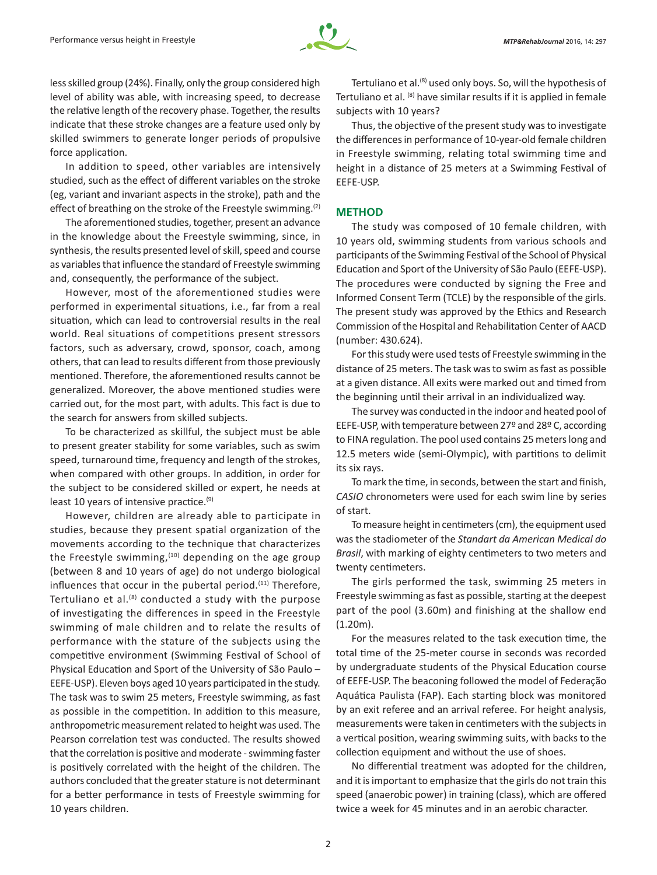

less skilled group (24%). Finally, only the group considered high level of ability was able, with increasing speed, to decrease the relative length of the recovery phase. Together, the results indicate that these stroke changes are a feature used only by skilled swimmers to generate longer periods of propulsive force application.

In addition to speed, other variables are intensively studied, such as the effect of different variables on the stroke (eg, variant and invariant aspects in the stroke), path and the effect of breathing on the stroke of the Freestyle swimming.<sup>(2)</sup>

The aforementioned studies, together, present an advance in the knowledge about the Freestyle swimming, since, in synthesis, the results presented level of skill, speed and course as variables that influence the standard of Freestyle swimming and, consequently, the performance of the subject.

However, most of the aforementioned studies were performed in experimental situations, i.e., far from a real situation, which can lead to controversial results in the real world. Real situations of competitions present stressors factors, such as adversary, crowd, sponsor, coach, among others, that can lead to results different from those previously mentioned. Therefore, the aforementioned results cannot be generalized. Moreover, the above mentioned studies were carried out, for the most part, with adults. This fact is due to the search for answers from skilled subjects.

To be characterized as skillful, the subject must be able to present greater stability for some variables, such as swim speed, turnaround time, frequency and length of the strokes, when compared with other groups. In addition, in order for the subject to be considered skilled or expert, he needs at least 10 years of intensive practice.<sup>(9)</sup>

However, children are already able to participate in studies, because they present spatial organization of the movements according to the technique that characterizes the Freestyle swimming, $(10)$  depending on the age group (between 8 and 10 years of age) do not undergo biological influences that occur in the pubertal period. $(11)$  Therefore, Tertuliano et al. $(8)$  conducted a study with the purpose of investigating the differences in speed in the Freestyle swimming of male children and to relate the results of performance with the stature of the subjects using the competitive environment (Swimming Festival of School of Physical Education and Sport of the University of São Paulo – EEFE-USP). Eleven boys aged 10 years participated in the study. The task was to swim 25 meters, Freestyle swimming, as fast as possible in the competition. In addition to this measure, anthropometric measurement related to height was used. The Pearson correlation test was conducted. The results showed that the correlation is positive and moderate - swimming faster is positively correlated with the height of the children. The authors concluded that the greater stature is not determinant for a better performance in tests of Freestyle swimming for 10 years children.

Tertuliano et al.<sup>(8)</sup> used only boys. So, will the hypothesis of Tertuliano et al. <sup>(8)</sup> have similar results if it is applied in female subjects with 10 years?

Thus, the objective of the present study was to investigate the differences in performance of 10-year-old female children in Freestyle swimming, relating total swimming time and height in a distance of 25 meters at a Swimming Festival of EEFE-USP.

# **METHOD**

The study was composed of 10 female children, with 10 years old, swimming students from various schools and participants of the Swimming Festival of the School of Physical Education and Sport of the University of São Paulo (EEFE-USP). The procedures were conducted by signing the Free and Informed Consent Term (TCLE) by the responsible of the girls. The present study was approved by the Ethics and Research Commission of the Hospital and Rehabilitation Center of AACD (number: 430.624).

For this study were used tests of Freestyle swimming in the distance of 25 meters. The task was to swim as fast as possible at a given distance. All exits were marked out and timed from the beginning until their arrival in an individualized way.

The survey was conducted in the indoor and heated pool of EEFE-USP, with temperature between 27º and 28º C, according to FINA regulation. The pool used contains 25 meters long and 12.5 meters wide (semi-Olympic), with partitions to delimit its six rays.

To mark the time, in seconds, between the start and finish, *CASIO* chronometers were used for each swim line by series of start.

To measure height in centimeters (cm), the equipment used was the stadiometer of the *Standart da American Medical do Brasil*, with marking of eighty centimeters to two meters and twenty centimeters.

The girls performed the task, swimming 25 meters in Freestyle swimming as fast as possible, starting at the deepest part of the pool (3.60m) and finishing at the shallow end (1.20m).

For the measures related to the task execution time, the total time of the 25-meter course in seconds was recorded by undergraduate students of the Physical Education course of EEFE-USP. The beaconing followed the model of Federação Aquática Paulista (FAP). Each starting block was monitored by an exit referee and an arrival referee. For height analysis, measurements were taken in centimeters with the subjects in a vertical position, wearing swimming suits, with backs to the collection equipment and without the use of shoes.

No differential treatment was adopted for the children, and it is important to emphasize that the girls do not train this speed (anaerobic power) in training (class), which are offered twice a week for 45 minutes and in an aerobic character.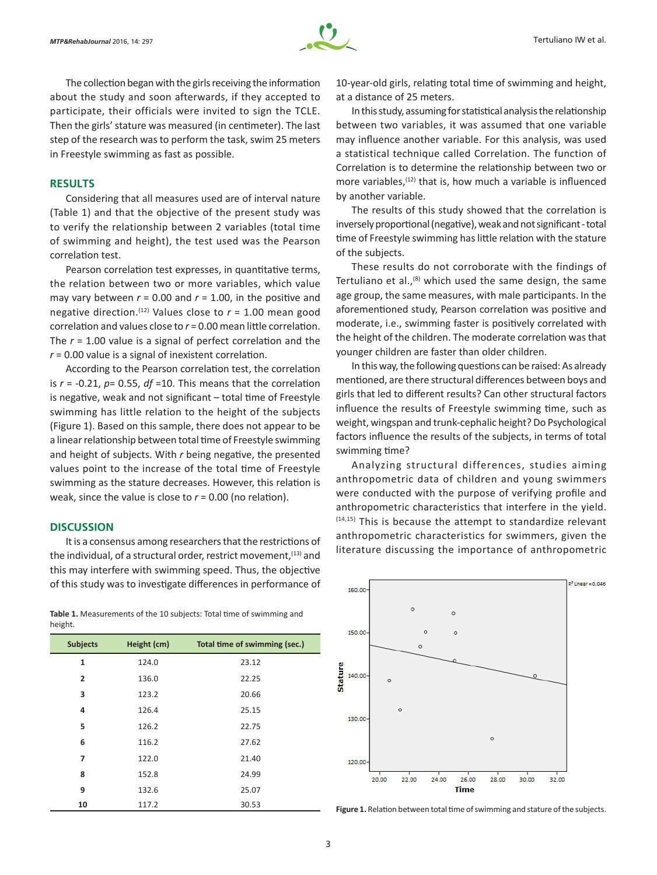

The collection began with the girls receiving the information about the study and soon afterwards, if they accepted to participate, their officials were invited to sign the TCLE. Then the girls' stature was measured (in centimeter). The last step of the research was to perform the task, swim 25 meters in Freestyle swimming as fast as possible.

#### **RESULTS**

Considering that all measures used are of interval nature (Table 1) and that the objective of the present study was to verify the relationship between 2 variables (total time of swimming and height), the test used was the Pearson correlation test.

Pearson correlation test expresses, in quantitative terms, the relation between two or more variables, which value may vary between  $r = 0.00$  and  $r = 1.00$ , in the positive and negative direction.<sup>(12)</sup> Values close to  $r = 1.00$  mean good correlation and values close to *r* = 0.00 mean little correlation. The *r* = 1.00 value is a signal of perfect correlation and the *r* = 0.00 value is a signal of inexistent correlation.

According to the Pearson correlation test, the correlation is *r* = -0.21, *p*= 0.55, *df* =10. This means that the correlation is negative, weak and not significant – total time of Freestyle swimming has little relation to the height of the subjects (Figure 1). Based on this sample, there does not appear to be a linear relationship between total time of Freestyle swimming and height of subjects. With *r* being negative, the presented values point to the increase of the total time of Freestyle swimming as the stature decreases. However, this relation is weak, since the value is close to *r* = 0.00 (no relation).

## **DISCUSSION**

It is a consensus among researchers that the restrictions of the individual, of a structural order, restrict movement, (13) and this may interfere with swimming speed. Thus, the objective of this study was to investigate differences in performance of

**Table 1.** Measurements of the 10 subjects: Total time of swimming and height.

| <b>Subjects</b> | Height (cm) | Total time of swimming (sec.) |
|-----------------|-------------|-------------------------------|
| $\mathbf{1}$    | 124.0       | 23.12                         |
| $\overline{2}$  | 136.0       | 22.25                         |
| 3               | 123.2       | 20.66                         |
| 4               | 126.4       | 25.15                         |
| 5               | 126.2       | 22.75                         |
| 6               | 116.2       | 27.62                         |
| 7               | 122.0       | 21.40                         |
| 8               | 152.8       | 24.99                         |
| 9               | 132.6       | 25.07                         |
| 10              | 117.2       | 30.53                         |

10-year-old girls, relating total time of swimming and height, at a distance of 25 meters.

In this study, assuming for statistical analysis the relationship between two variables, it was assumed that one variable may influence another variable. For this analysis, was used a statistical technique called Correlation. The function of Correlation is to determine the relationship between two or more variables.<sup>(12)</sup> that is, how much a variable is influenced by another variable.

The results of this study showed that the correlation is inversely proportional (negative), weak and not significant - total time of Freestyle swimming has little relation with the stature of the subjects.

These results do not corroborate with the findings of Tertuliano et al., $(8)$  which used the same design, the same age group, the same measures, with male participants. In the aforementioned study, Pearson correlation was positive and moderate, i.e., swimming faster is positively correlated with the height of the children. The moderate correlation was that younger children are faster than older children.

In this way, the following questions can be raised: As already mentioned, are there structural differences between boys and girls that led to different results? Can other structural factors influence the results of Freestyle swimming time, such as weight, wingspan and trunk-cephalic height? Do Psychological factors influence the results of the subjects, in terms of total swimming time?

Analyzing structural differences, studies aiming anthropometric data of children and young swimmers were conducted with the purpose of verifying profile and anthropometric characteristics that interfere in the yield. (14,15) This is because the attempt to standardize relevant anthropometric characteristics for swimmers, given the literature discussing the importance of anthropometric



Figure 1. Relation between total time of swimming and stature of the subjects.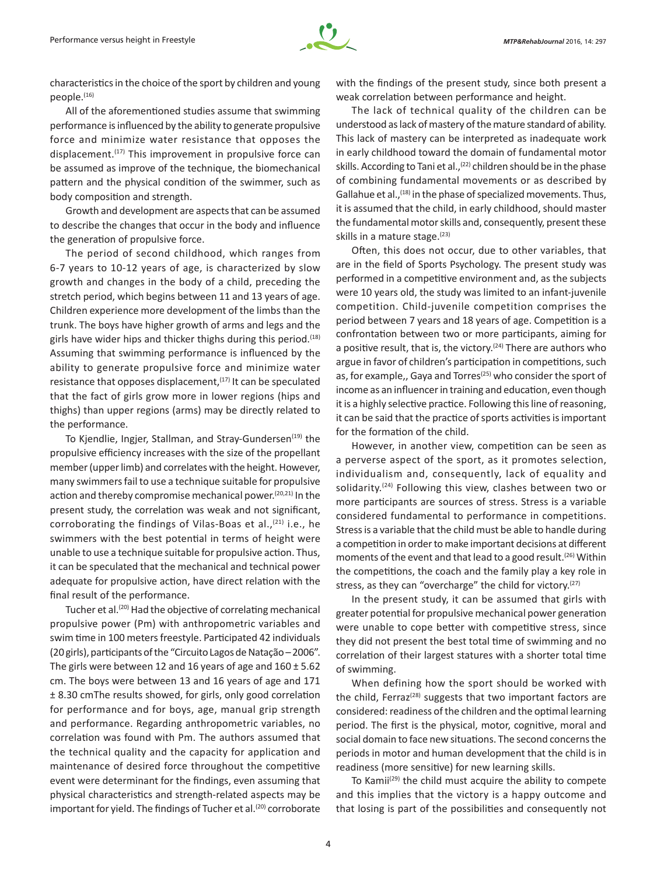characteristics in the choice of the sport by children and young people.<sup>(16)</sup>

All of the aforementioned studies assume that swimming performance is influenced by the ability to generate propulsive force and minimize water resistance that opposes the displacement. $(17)$  This improvement in propulsive force can be assumed as improve of the technique, the biomechanical pattern and the physical condition of the swimmer, such as body composition and strength.

Growth and development are aspects that can be assumed to describe the changes that occur in the body and influence the generation of propulsive force.

The period of second childhood, which ranges from 6-7 years to 10-12 years of age, is characterized by slow growth and changes in the body of a child, preceding the stretch period, which begins between 11 and 13 years of age. Children experience more development of the limbs than the trunk. The boys have higher growth of arms and legs and the girls have wider hips and thicker thighs during this period.<sup>(18)</sup> Assuming that swimming performance is influenced by the ability to generate propulsive force and minimize water resistance that opposes displacement,<sup>(17)</sup> It can be speculated that the fact of girls grow more in lower regions (hips and thighs) than upper regions (arms) may be directly related to the performance.

To Kjendlie, Ingjer, Stallman, and Stray-Gundersen<sup>(19)</sup> the propulsive efficiency increases with the size of the propellant member (upper limb) and correlates with the height. However, many swimmers fail to use a technique suitable for propulsive action and thereby compromise mechanical power.<sup>(20,21)</sup> In the present study, the correlation was weak and not significant, corroborating the findings of Vilas-Boas et al., $(21)$  i.e., he swimmers with the best potential in terms of height were unable to use a technique suitable for propulsive action. Thus, it can be speculated that the mechanical and technical power adequate for propulsive action, have direct relation with the final result of the performance.

Tucher et al.<sup>(20)</sup> Had the objective of correlating mechanical propulsive power (Pm) with anthropometric variables and swim time in 100 meters freestyle. Participated 42 individuals (20 girls), participants of the "Circuito Lagos de Natação – 2006". The girls were between 12 and 16 years of age and  $160 \pm 5.62$ cm. The boys were between 13 and 16 years of age and 171 ± 8.30 cmThe results showed, for girls, only good correlation for performance and for boys, age, manual grip strength and performance. Regarding anthropometric variables, no correlation was found with Pm. The authors assumed that the technical quality and the capacity for application and maintenance of desired force throughout the competitive event were determinant for the findings, even assuming that physical characteristics and strength-related aspects may be important for yield. The findings of Tucher et al.<sup>(20)</sup> corroborate with the findings of the present study, since both present a weak correlation between performance and height.

The lack of technical quality of the children can be understood as lack of mastery of the mature standard of ability. This lack of mastery can be interpreted as inadequate work in early childhood toward the domain of fundamental motor skills. According to Tani et al.,<sup>(22)</sup> children should be in the phase of combining fundamental movements or as described by Gallahue et al.,<sup>(18)</sup> in the phase of specialized movements. Thus, it is assumed that the child, in early childhood, should master the fundamental motor skills and, consequently, present these skills in a mature stage.<sup>(23)</sup>

Often, this does not occur, due to other variables, that are in the field of Sports Psychology. The present study was performed in a competitive environment and, as the subjects were 10 years old, the study was limited to an infant-juvenile competition. Child-juvenile competition comprises the period between 7 years and 18 years of age. Competition is a confrontation between two or more participants, aiming for a positive result, that is, the victory. $(24)$  There are authors who argue in favor of children's participation in competitions, such as, for example,, Gaya and Torres<sup>(25)</sup> who consider the sport of income as an influencer in training and education, even though it is a highly selective practice. Following this line of reasoning, it can be said that the practice of sports activities is important for the formation of the child.

However, in another view, competition can be seen as a perverse aspect of the sport, as it promotes selection, individualism and, consequently, lack of equality and solidarity.<sup>(24)</sup> Following this view, clashes between two or more participants are sources of stress. Stress is a variable considered fundamental to performance in competitions. Stress is a variable that the child must be able to handle during a competition in order to make important decisions at different moments of the event and that lead to a good result.<sup>(26)</sup> Within the competitions, the coach and the family play a key role in stress, as they can "overcharge" the child for victory. $(27)$ 

In the present study, it can be assumed that girls with greater potential for propulsive mechanical power generation were unable to cope better with competitive stress, since they did not present the best total time of swimming and no correlation of their largest statures with a shorter total time of swimming.

When defining how the sport should be worked with the child, Ferraz<sup> $(28)$ </sup> suggests that two important factors are considered: readiness of the children and the optimal learning period. The first is the physical, motor, cognitive, moral and social domain to face new situations. The second concerns the periods in motor and human development that the child is in readiness (more sensitive) for new learning skills.

To Kamii<sup>(29)</sup> the child must acquire the ability to compete and this implies that the victory is a happy outcome and that losing is part of the possibilities and consequently not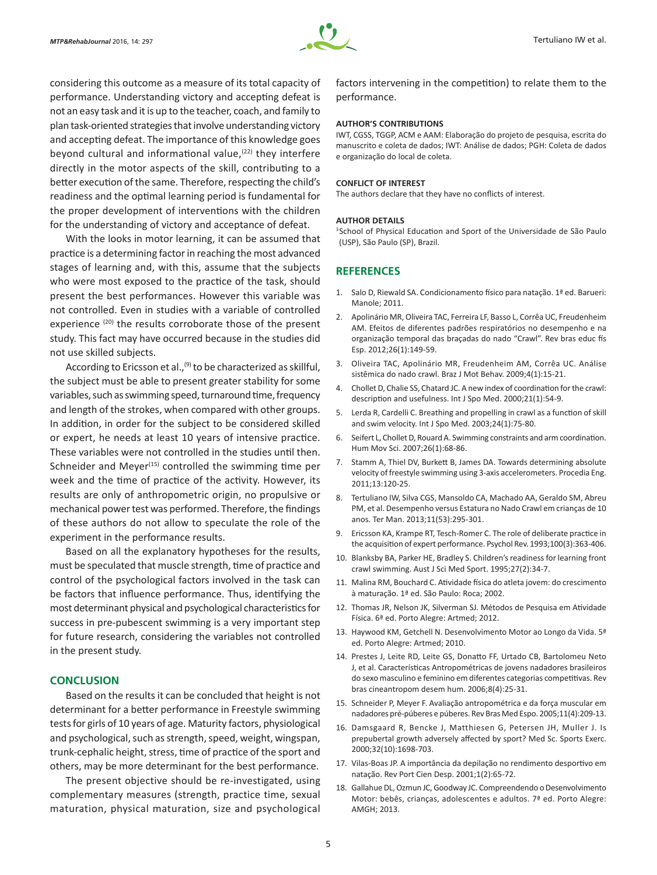

considering this outcome as a measure of its total capacity of performance. Understanding victory and accepting defeat is not an easy task and it is up to the teacher, coach, and family to plan task-oriented strategies that involve understanding victory and accepting defeat. The importance of this knowledge goes beyond cultural and informational value, $(22)$  they interfere directly in the motor aspects of the skill, contributing to a better execution of the same. Therefore, respecting the child's readiness and the optimal learning period is fundamental for the proper development of interventions with the children for the understanding of victory and acceptance of defeat.

With the looks in motor learning, it can be assumed that practice is a determining factor in reaching the most advanced stages of learning and, with this, assume that the subjects who were most exposed to the practice of the task, should present the best performances. However this variable was not controlled. Even in studies with a variable of controlled experience<sup>(20)</sup> the results corroborate those of the present study. This fact may have occurred because in the studies did not use skilled subjects.

According to Ericsson et al.,<sup>(9)</sup> to be characterized as skillful, the subject must be able to present greater stability for some variables, such as swimming speed, turnaround time, frequency and length of the strokes, when compared with other groups. In addition, in order for the subject to be considered skilled or expert, he needs at least 10 years of intensive practice. These variables were not controlled in the studies until then. Schneider and Meyer $(15)$  controlled the swimming time per week and the time of practice of the activity. However, its results are only of anthropometric origin, no propulsive or mechanical power test was performed. Therefore, the findings of these authors do not allow to speculate the role of the experiment in the performance results.

Based on all the explanatory hypotheses for the results, must be speculated that muscle strength, time of practice and control of the psychological factors involved in the task can be factors that influence performance. Thus, identifying the most determinant physical and psychological characteristics for success in pre-pubescent swimming is a very important step for future research, considering the variables not controlled in the present study.

# **CONCLUSION**

Based on the results it can be concluded that height is not determinant for a better performance in Freestyle swimming tests for girls of 10 years of age. Maturity factors, physiological and psychological, such as strength, speed, weight, wingspan, trunk-cephalic height, stress, time of practice of the sport and others, may be more determinant for the best performance.

The present objective should be re-investigated, using complementary measures (strength, practice time, sexual maturation, physical maturation, size and psychological factors intervening in the competition) to relate them to the performance.

#### **AUTHOR'S CONTRIBUTIONS**

IWT, CGSS, TGGP, ACM e AAM: Elaboração do projeto de pesquisa, escrita do manuscrito e coleta de dados; IWT: Análise de dados; PGH: Coleta de dados e organização do local de coleta.

#### **CONFLICT OF INTEREST**

The authors declare that they have no conflicts of interest.

#### **AUTHOR DETAILS**

<sup>3</sup>School of Physical Education and Sport of the Universidade de São Paulo (USP), São Paulo (SP), Brazil.

# **REFERENCES**

- 1. Salo D, Riewald SA. Condicionamento físico para natação. 1ª ed. Barueri: Manole; 2011.
- 2. Apolinário MR, Oliveira TAC, Ferreira LF, Basso L, Corrêa UC, Freudenheim AM. Efeitos de diferentes padrões respiratórios no desempenho e na organização temporal das braçadas do nado "Crawl". Rev bras educ fís Esp. 2012;26(1):149-59.
- 3. Oliveira TAC, Apolinário MR, Freudenheim AM, Corrêa UC. Análise sistêmica do nado crawl. Braz J Mot Behav. 2009;4(1):15-21.
- 4. Chollet D, Chalie SS, Chatard JC. A new index of coordination for the crawl: description and usefulness. Int J Spo Med. 2000;21(1):54-9.
- 5. Lerda R, Cardelli C. Breathing and propelling in crawl as a function of skill and swim velocity. Int J Spo Med. 2003;24(1):75-80.
- 6. Seifert L, Chollet D, Rouard A. Swimming constraints and arm coordination. Hum Mov Sci. 2007;26(1):68-86.
- 7. Stamm A, Thiel DV, Burkett B, James DA. Towards determining absolute velocity of freestyle swimming using 3-axis accelerometers. Procedia Eng. 2011;13:120-25.
- 8. Tertuliano IW, Silva CGS, Mansoldo CA, Machado AA, Geraldo SM, Abreu PM, et al. Desempenho versus Estatura no Nado Crawl em crianças de 10 anos. Ter Man. 2013;11(53):295-301.
- 9. Ericsson KA, Krampe RT, Tesch-Romer C. The role of deliberate practice in the acquisition of expert performance. Psychol Rev. 1993;100(3):363-406.
- 10. Blanksby BA, Parker HE, Bradley S. Children's readiness for learning front crawl swimming. Aust J Sci Med Sport. 1995;27(2):34-7.
- 11. Malina RM, Bouchard C. Atividade física do atleta jovem: do crescimento à maturação. 1ª ed. São Paulo: Roca; 2002.
- 12. Thomas JR, Nelson JK, Silverman SJ. Métodos de Pesquisa em Atividade Física. 6ª ed. Porto Alegre: Artmed; 2012.
- 13. Haywood KM, Getchell N. Desenvolvimento Motor ao Longo da Vida. 5ª ed. Porto Alegre: Artmed; 2010.
- 14. Prestes J, Leite RD, Leite GS, Donatto FF, Urtado CB, Bartolomeu Neto J, et al. Características Antropométricas de jovens nadadores brasileiros do sexo masculino e feminino em diferentes categorias competitivas. Rev bras cineantropom desem hum. 2006;8(4):25-31.
- 15. Schneider P, Meyer F. Avaliação antropométrica e da força muscular em nadadores pré-púberes e púberes. Rev Bras Med Espo. 2005;11(4):209-13.
- 16. Damsgaard R, Bencke J, Matthiesen G, Petersen JH, Muller J. Is prepubertal growth adversely affected by sport? Med Sc. Sports Exerc. 2000;32(10):1698-703.
- 17. Vilas-Boas JP. A importância da depilação no rendimento desportivo em natação. Rev Port Cien Desp. 2001;1(2):65-72.
- 18. Gallahue DL, Ozmun JC, Goodway JC. Compreendendo o Desenvolvimento Motor: bebês, crianças, adolescentes e adultos. 7ª ed. Porto Alegre: AMGH; 2013.